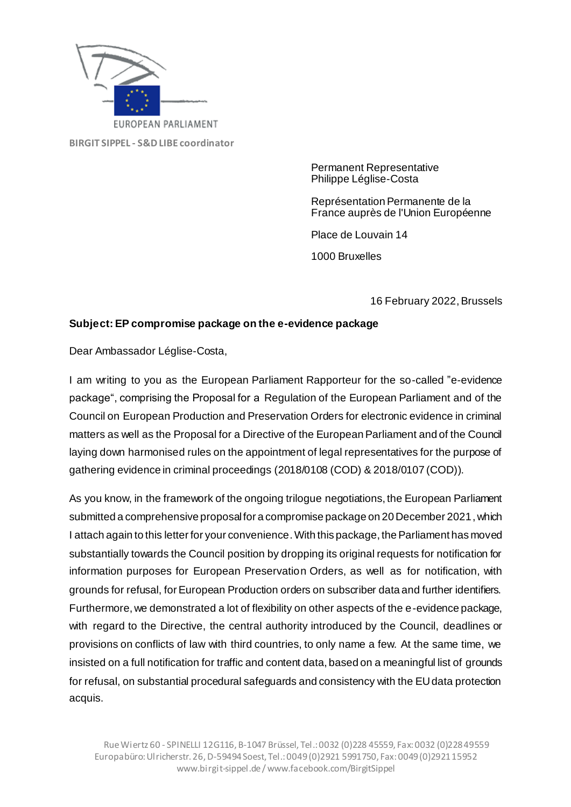

Permanent Representative Philippe Léglise-Costa

Représentation Permanente de la France auprès de l'Union Européenne

Place de Louvain 14

1000 Bruxelles

16 February 2022, Brussels

## **Subject: EP compromise package on the e-evidence package**

Dear Ambassador Léglise-Costa,

I am writing to you as the European Parliament Rapporteur for the so-called "e-evidence package", comprising the Proposal for a Regulation of the European Parliament and of the Council on European Production and Preservation Orders for electronic evidence in criminal matters as well as the Proposal for a Directive of the European Parliament and of the Council laying down harmonised rules on the appointment of legal representatives for the purpose of gathering evidence in criminal proceedings (2018/0108 (COD) & 2018/0107 (COD)).

As you know, in the framework of the ongoing trilogue negotiations, the European Parliament submitted a comprehensive proposal for a compromise package on 20 December 2021, which I attach again to this letter for your convenience. With this package, the Parliament has moved substantially towards the Council position by dropping its original requests for notification for information purposes for European Preservation Orders, as well as for notification, with grounds for refusal, for European Production orders on subscriber data and further identifiers. Furthermore, we demonstrated a lot of flexibility on other aspects of the e-evidence package, with regard to the Directive, the central authority introduced by the Council, deadlines or provisions on conflicts of law with third countries, to only name a few. At the same time, we insisted on a full notification for traffic and content data, based on a meaningful list of grounds for refusal, on substantial procedural safeguards and consistency with the EU data protection acquis.